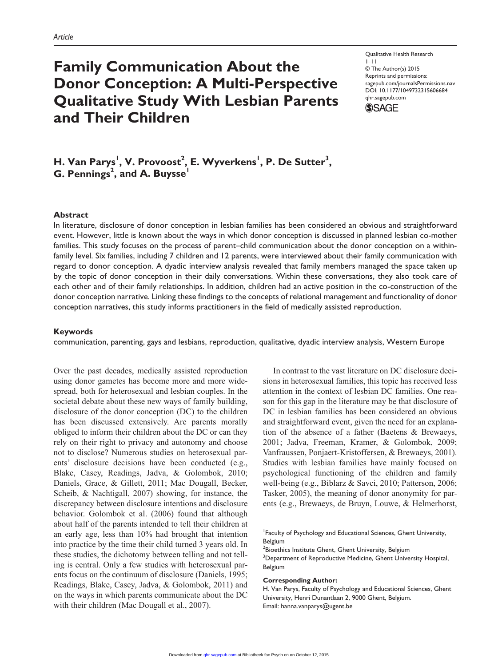# **Family Communication About the Donor Conception: A Multi-Perspective Qualitative Study With Lesbian Parents and Their Children**

Qualitative Health Research  $1 - 11$ © The Author(s) 2015 Reprints and permissions: sagepub.com/journalsPermissions.nav DOI: 10.1177/1049732315606684 qhr.sagepub.com



**H. Van Parys<sup>1</sup>, V. Provoost<sup>2</sup>, E. Wyverkens<sup>1</sup>, P. De Sutter<sup>3</sup>, G. Pennings<sup>2</sup>, and A. Buysse** 

#### **Abstract**

In literature, disclosure of donor conception in lesbian families has been considered an obvious and straightforward event. However, little is known about the ways in which donor conception is discussed in planned lesbian co-mother families. This study focuses on the process of parent–child communication about the donor conception on a withinfamily level. Six families, including 7 children and 12 parents, were interviewed about their family communication with regard to donor conception. A dyadic interview analysis revealed that family members managed the space taken up by the topic of donor conception in their daily conversations. Within these conversations, they also took care of each other and of their family relationships. In addition, children had an active position in the co-construction of the donor conception narrative. Linking these findings to the concepts of relational management and functionality of donor conception narratives, this study informs practitioners in the field of medically assisted reproduction.

#### **Keywords**

communication, parenting, gays and lesbians, reproduction, qualitative, dyadic interview analysis, Western Europe

Over the past decades, medically assisted reproduction using donor gametes has become more and more widespread, both for heterosexual and lesbian couples. In the societal debate about these new ways of family building, disclosure of the donor conception (DC) to the children has been discussed extensively. Are parents morally obliged to inform their children about the DC or can they rely on their right to privacy and autonomy and choose not to disclose? Numerous studies on heterosexual parents' disclosure decisions have been conducted (e.g., Blake, Casey, Readings, Jadva, & Golombok, 2010; Daniels, Grace, & Gillett, 2011; Mac Dougall, Becker, Scheib, & Nachtigall, 2007) showing, for instance, the discrepancy between disclosure intentions and disclosure behavior. Golombok et al. (2006) found that although about half of the parents intended to tell their children at an early age, less than 10% had brought that intention into practice by the time their child turned 3 years old. In these studies, the dichotomy between telling and not telling is central. Only a few studies with heterosexual parents focus on the continuum of disclosure (Daniels, 1995; Readings, Blake, Casey, Jadva, & Golombok, 2011) and on the ways in which parents communicate about the DC with their children (Mac Dougall et al., 2007).

In contrast to the vast literature on DC disclosure decisions in heterosexual families, this topic has received less attention in the context of lesbian DC families. One reason for this gap in the literature may be that disclosure of DC in lesbian families has been considered an obvious and straightforward event, given the need for an explanation of the absence of a father (Baetens & Brewaeys, 2001; Jadva, Freeman, Kramer, & Golombok, 2009; Vanfraussen, Ponjaert-Kristoffersen, & Brewaeys, 2001). Studies with lesbian families have mainly focused on psychological functioning of the children and family well-being (e.g., Biblarz & Savci, 2010; Patterson, 2006; Tasker, 2005), the meaning of donor anonymity for parents (e.g., Brewaeys, de Bruyn, Louwe, & Helmerhorst,

 $^{2}$ Bioethics Institute Ghent, Ghent University, Belgium

#### **Corresponding Author:**

<sup>1</sup> Faculty of Psychology and Educational Sciences, Ghent University, Belgium

 $3$ Department of Reproductive Medicine, Ghent University Hospital, Belgium

H. Van Parys, Faculty of Psychology and Educational Sciences, Ghent University, Henri Dunantlaan 2, 9000 Ghent, Belgium. Email: [hanna.vanparys@ugent.be](mailto:hanna.vanparys@ugent.be)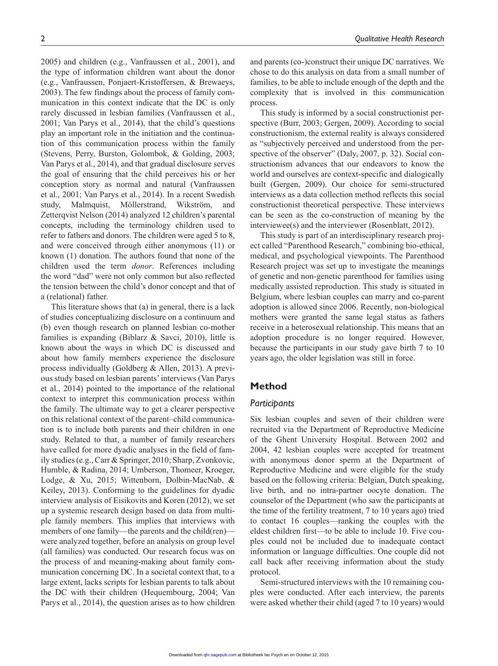2005) and children (e.g., Vanfraussen et al., 2001), and the type of information children want about the donor (e.g., Vanfraussen, Ponjaert-Kristoffersen, & Brewaeys, 2003). The few findings about the process of family communication in this context indicate that the DC is only rarely discussed in lesbian families (Vanfraussen et al., 2001; Van Parys et al., 2014), that the child's questions play an important role in the initiation and the continuation of this communication process within the family (Stevens, Perry, Burston, Golombok, & Golding, 2003; Van Parys et al., 2014), and that gradual disclosure serves the goal of ensuring that the child perceives his or her conception story as normal and natural (Vanfraussen et al., 2001; Van Parys et al., 2014). In a recent Swedish study, Malmquist, Möllerstrand, Wikström, and Zetterqvist Nelson (2014) analyzed 12 children's parental concepts, including the terminology children used to refer to fathers and donors. The children were aged 5 to 8, and were conceived through either anonymous (11) or known (1) donation. The authors found that none of the children used the term *donor*. References including the word "dad" were not only common but also reflected the tension between the child's donor concept and that of a (relational) father.

This literature shows that (a) in general, there is a lack of studies conceptualizing disclosure on a continuum and (b) even though research on planned lesbian co-mother families is expanding (Biblarz & Savci, 2010), little is known about the ways in which DC is discussed and about how family members experience the disclosure process individually (Goldberg & Allen, 2013). A previous study based on lesbian parents' interviews (Van Parys et al., 2014) pointed to the importance of the relational context to interpret this communication process within the family. The ultimate way to get a clearer perspective on this relational context of the parent–child communication is to include both parents and their children in one study. Related to that, a number of family researchers have called for more dyadic analyses in the field of family studies (e.g., Carr & Springer, 2010; Sharp, Zvonkovic, Humble, & Radina, 2014; Umberson, Thomeer, Kroeger, Lodge, & Xu, 2015; Wittenborn, Dolbin-MacNab, & Keiley, 2013). Conforming to the guidelines for dyadic interview analysis of Eisikovits and Koren (2012), we set up a systemic research design based on data from multiple family members. This implies that interviews with members of one family—the parents and the child(ren) were analyzed together, before an analysis on group level (all families) was conducted. Our research focus was on the process of and meaning-making about family communication concerning DC. In a societal context that, to a large extent, lacks scripts for lesbian parents to talk about the DC with their children (Hequembourg, 2004; Van Parys et al., 2014), the question arises as to how children and parents (co-)construct their unique DC narratives. We chose to do this analysis on data from a small number of families, to be able to include enough of the depth and the complexity that is involved in this communication process.

This study is informed by a social constructionist perspective (Burr, 2003; Gergen, 2009). According to social constructionism, the external reality is always considered as "subjectively perceived and understood from the perspective of the observer" (Daly, 2007, p. 32). Social constructionism advances that our endeavors to know the world and ourselves are context-specific and dialogically built (Gergen, 2009). Our choice for semi-structured interviews as a data collection method reflects this social constructionist theoretical perspective. These interviews can be seen as the co-construction of meaning by the interviewee(s) and the interviewer (Rosenblatt, 2012).

This study is part of an interdisciplinary research project called "Parenthood Research," combining bio-ethical, medical, and psychological viewpoints. The Parenthood Research project was set up to investigate the meanings of genetic and non-genetic parenthood for families using medically assisted reproduction. This study is situated in Belgium, where lesbian couples can marry and co-parent adoption is allowed since 2006. Recently, non-biological mothers were granted the same legal status as fathers receive in a heterosexual relationship. This means that an adoption procedure is no longer required. However, because the participants in our study gave birth 7 to 10 years ago, the older legislation was still in force.

# **Method**

#### *Participants*

Six lesbian couples and seven of their children were recruited via the Department of Reproductive Medicine of the Ghent University Hospital. Between 2002 and 2004, 42 lesbian couples were accepted for treatment with anonymous donor sperm at the Department of Reproductive Medicine and were eligible for the study based on the following criteria: Belgian, Dutch speaking, live birth, and no intra-partner oocyte donation. The counselor of the Department (who saw the participants at the time of the fertility treatment, 7 to 10 years ago) tried to contact 16 couples—ranking the couples with the eldest children first—to be able to include 10. Five couples could not be included due to inadequate contact information or language difficulties. One couple did not call back after receiving information about the study protocol.

Semi-structured interviews with the 10 remaining couples were conducted. After each interview, the parents were asked whether their child (aged 7 to 10 years) would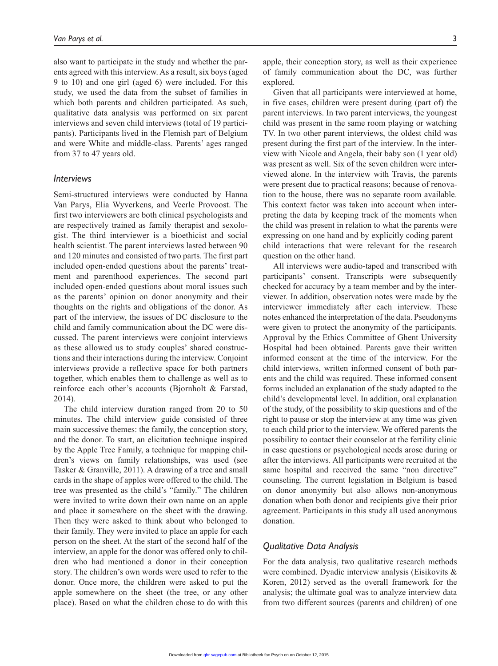also want to participate in the study and whether the parents agreed with this interview. As a result, six boys (aged 9 to 10) and one girl (aged 6) were included. For this study, we used the data from the subset of families in which both parents and children participated. As such, qualitative data analysis was performed on six parent interviews and seven child interviews (total of 19 participants). Participants lived in the Flemish part of Belgium and were White and middle-class. Parents' ages ranged from 37 to 47 years old.

#### *Interviews*

Semi-structured interviews were conducted by Hanna Van Parys, Elia Wyverkens, and Veerle Provoost. The first two interviewers are both clinical psychologists and are respectively trained as family therapist and sexologist. The third interviewer is a bioethicist and social health scientist. The parent interviews lasted between 90 and 120 minutes and consisted of two parts. The first part included open-ended questions about the parents' treatment and parenthood experiences. The second part included open-ended questions about moral issues such as the parents' opinion on donor anonymity and their thoughts on the rights and obligations of the donor. As part of the interview, the issues of DC disclosure to the child and family communication about the DC were discussed. The parent interviews were conjoint interviews as these allowed us to study couples' shared constructions and their interactions during the interview. Conjoint interviews provide a reflective space for both partners together, which enables them to challenge as well as to reinforce each other's accounts (Bjornholt & Farstad, 2014).

The child interview duration ranged from 20 to 50 minutes. The child interview guide consisted of three main successive themes: the family, the conception story, and the donor. To start, an elicitation technique inspired by the Apple Tree Family, a technique for mapping children's views on family relationships, was used (see Tasker & Granville, 2011). A drawing of a tree and small cards in the shape of apples were offered to the child. The tree was presented as the child's "family." The children were invited to write down their own name on an apple and place it somewhere on the sheet with the drawing. Then they were asked to think about who belonged to their family. They were invited to place an apple for each person on the sheet. At the start of the second half of the interview, an apple for the donor was offered only to children who had mentioned a donor in their conception story. The children's own words were used to refer to the donor. Once more, the children were asked to put the apple somewhere on the sheet (the tree, or any other place). Based on what the children chose to do with this

apple, their conception story, as well as their experience of family communication about the DC, was further explored.

Given that all participants were interviewed at home, in five cases, children were present during (part of) the parent interviews. In two parent interviews, the youngest child was present in the same room playing or watching TV. In two other parent interviews, the oldest child was present during the first part of the interview. In the interview with Nicole and Angela, their baby son (1 year old) was present as well. Six of the seven children were interviewed alone. In the interview with Travis, the parents were present due to practical reasons; because of renovation to the house, there was no separate room available. This context factor was taken into account when interpreting the data by keeping track of the moments when the child was present in relation to what the parents were expressing on one hand and by explicitly coding parent– child interactions that were relevant for the research question on the other hand.

All interviews were audio-taped and transcribed with participants' consent. Transcripts were subsequently checked for accuracy by a team member and by the interviewer. In addition, observation notes were made by the interviewer immediately after each interview. These notes enhanced the interpretation of the data. Pseudonyms were given to protect the anonymity of the participants. Approval by the Ethics Committee of Ghent University Hospital had been obtained. Parents gave their written informed consent at the time of the interview. For the child interviews, written informed consent of both parents and the child was required. These informed consent forms included an explanation of the study adapted to the child's developmental level. In addition, oral explanation of the study, of the possibility to skip questions and of the right to pause or stop the interview at any time was given to each child prior to the interview. We offered parents the possibility to contact their counselor at the fertility clinic in case questions or psychological needs arose during or after the interviews. All participants were recruited at the same hospital and received the same "non directive" counseling. The current legislation in Belgium is based on donor anonymity but also allows non-anonymous donation when both donor and recipients give their prior agreement. Participants in this study all used anonymous donation.

### *Qualitative Data Analysis*

For the data analysis, two qualitative research methods were combined. Dyadic interview analysis (Eisikovits & Koren, 2012) served as the overall framework for the analysis; the ultimate goal was to analyze interview data from two different sources (parents and children) of one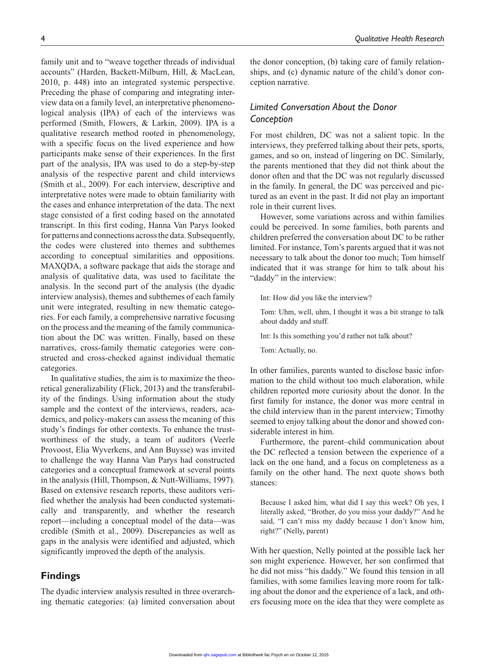family unit and to "weave together threads of individual accounts" (Harden, Backett-Milburn, Hill, & MacLean, 2010, p. 448) into an integrated systemic perspective. Preceding the phase of comparing and integrating interview data on a family level, an interpretative phenomenological analysis (IPA) of each of the interviews was performed (Smith, Flowers, & Larkin, 2009). IPA is a qualitative research method rooted in phenomenology, with a specific focus on the lived experience and how participants make sense of their experiences. In the first part of the analysis, IPA was used to do a step-by-step analysis of the respective parent and child interviews (Smith et al., 2009). For each interview, descriptive and interpretative notes were made to obtain familiarity with the cases and enhance interpretation of the data. The next stage consisted of a first coding based on the annotated transcript. In this first coding, Hanna Van Parys looked for patterns and connections across the data. Subsequently, the codes were clustered into themes and subthemes according to conceptual similarities and oppositions. MAXQDA, a software package that aids the storage and analysis of qualitative data, was used to facilitate the analysis. In the second part of the analysis (the dyadic interview analysis), themes and subthemes of each family unit were integrated, resulting in new thematic categories. For each family, a comprehensive narrative focusing on the process and the meaning of the family communication about the DC was written. Finally, based on these narratives, cross-family thematic categories were constructed and cross-checked against individual thematic categories.

In qualitative studies, the aim is to maximize the theoretical generalizability (Flick, 2013) and the transferability of the findings. Using information about the study sample and the context of the interviews, readers, academics, and policy-makers can assess the meaning of this study's findings for other contexts. To enhance the trustworthiness of the study, a team of auditors (Veerle Provoost, Elia Wyverkens, and Ann Buysse) was invited to challenge the way Hanna Van Parys had constructed categories and a conceptual framework at several points in the analysis (Hill, Thompson, & Nutt-Williams, 1997). Based on extensive research reports, these auditors verified whether the analysis had been conducted systematically and transparently, and whether the research report—including a conceptual model of the data—was credible (Smith et al., 2009). Discrepancies as well as gaps in the analysis were identified and adjusted, which significantly improved the depth of the analysis.

# **Findings**

The dyadic interview analysis resulted in three overarching thematic categories: (a) limited conversation about the donor conception, (b) taking care of family relationships, and (c) dynamic nature of the child's donor conception narrative.

# *Limited Conversation About the Donor Conception*

For most children, DC was not a salient topic. In the interviews, they preferred talking about their pets, sports, games, and so on, instead of lingering on DC. Similarly, the parents mentioned that they did not think about the donor often and that the DC was not regularly discussed in the family. In general, the DC was perceived and pictured as an event in the past. It did not play an important role in their current lives.

However, some variations across and within families could be perceived. In some families, both parents and children preferred the conversation about DC to be rather limited. For instance, Tom's parents argued that it was not necessary to talk about the donor too much; Tom himself indicated that it was strange for him to talk about his "daddy" in the interview:

Int: How did you like the interview?

Tom: Uhm, well, uhm, I thought it was a bit strange to talk about daddy and stuff.

Int: Is this something you'd rather not talk about?

Tom: Actually, no.

In other families, parents wanted to disclose basic information to the child without too much elaboration, while children reported more curiosity about the donor. In the first family for instance, the donor was more central in the child interview than in the parent interview; Timothy seemed to enjoy talking about the donor and showed considerable interest in him.

Furthermore, the parent–child communication about the DC reflected a tension between the experience of a lack on the one hand, and a focus on completeness as a family on the other hand. The next quote shows both stances:

Because I asked him, what did I say this week? Oh yes, I literally asked, "Brother, do you miss your daddy?" And he said, "I can't miss my daddy because I don't know him, right?" (Nelly, parent)

With her question, Nelly pointed at the possible lack her son might experience. However, her son confirmed that he did not miss "his daddy." We found this tension in all families, with some families leaving more room for talking about the donor and the experience of a lack, and others focusing more on the idea that they were complete as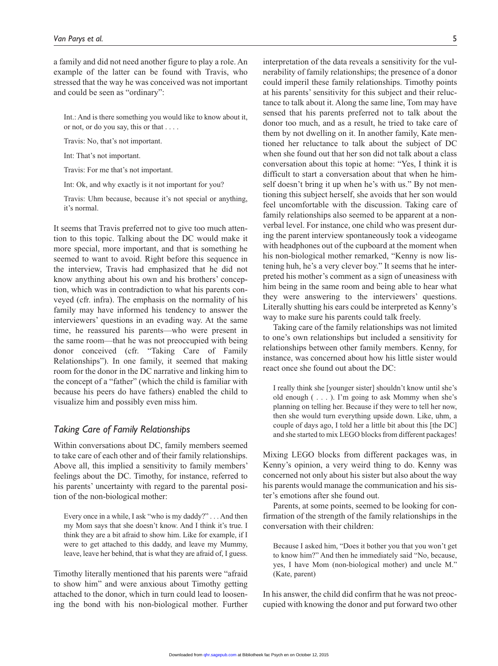a family and did not need another figure to play a role. An example of the latter can be found with Travis, who stressed that the way he was conceived was not important and could be seen as "ordinary":

Int.: And is there something you would like to know about it, or not, or do you say, this or that . . . .

Travis: No, that's not important.

Int: That's not important.

Travis: For me that's not important.

Int: Ok, and why exactly is it not important for you?

Travis: Uhm because, because it's not special or anything, it's normal.

It seems that Travis preferred not to give too much attention to this topic. Talking about the DC would make it more special, more important, and that is something he seemed to want to avoid. Right before this sequence in the interview, Travis had emphasized that he did not know anything about his own and his brothers' conception, which was in contradiction to what his parents conveyed (cfr. infra). The emphasis on the normality of his family may have informed his tendency to answer the interviewers' questions in an evading way. At the same time, he reassured his parents—who were present in the same room—that he was not preoccupied with being donor conceived (cfr. "Taking Care of Family Relationships"). In one family, it seemed that making room for the donor in the DC narrative and linking him to the concept of a "father" (which the child is familiar with because his peers do have fathers) enabled the child to visualize him and possibly even miss him.

## *Taking Care of Family Relationships*

Within conversations about DC, family members seemed to take care of each other and of their family relationships. Above all, this implied a sensitivity to family members' feelings about the DC. Timothy, for instance, referred to his parents' uncertainty with regard to the parental position of the non-biological mother:

Every once in a while, I ask "who is my daddy?" . . . And then my Mom says that she doesn't know. And I think it's true. I think they are a bit afraid to show him. Like for example, if I were to get attached to this daddy, and leave my Mummy, leave, leave her behind, that is what they are afraid of, I guess.

Timothy literally mentioned that his parents were "afraid to show him" and were anxious about Timothy getting attached to the donor, which in turn could lead to loosening the bond with his non-biological mother. Further interpretation of the data reveals a sensitivity for the vulnerability of family relationships; the presence of a donor could imperil these family relationships. Timothy points at his parents' sensitivity for this subject and their reluctance to talk about it. Along the same line, Tom may have sensed that his parents preferred not to talk about the donor too much, and as a result, he tried to take care of them by not dwelling on it. In another family, Kate mentioned her reluctance to talk about the subject of DC when she found out that her son did not talk about a class conversation about this topic at home: "Yes, I think it is difficult to start a conversation about that when he himself doesn't bring it up when he's with us." By not mentioning this subject herself, she avoids that her son would feel uncomfortable with the discussion. Taking care of family relationships also seemed to be apparent at a nonverbal level. For instance, one child who was present during the parent interview spontaneously took a videogame with headphones out of the cupboard at the moment when his non-biological mother remarked, "Kenny is now listening huh, he's a very clever boy." It seems that he interpreted his mother's comment as a sign of uneasiness with him being in the same room and being able to hear what they were answering to the interviewers' questions. Literally shutting his ears could be interpreted as Kenny's way to make sure his parents could talk freely.

Taking care of the family relationships was not limited to one's own relationships but included a sensitivity for relationships between other family members. Kenny, for instance, was concerned about how his little sister would react once she found out about the DC:

I really think she [younger sister] shouldn't know until she's old enough ( . . . ). I'm going to ask Mommy when she's planning on telling her. Because if they were to tell her now, then she would turn everything upside down. Like, uhm, a couple of days ago, I told her a little bit about this [the DC] and she started to mix LEGO blocks from different packages!

Mixing LEGO blocks from different packages was, in Kenny's opinion, a very weird thing to do. Kenny was concerned not only about his sister but also about the way his parents would manage the communication and his sister's emotions after she found out.

Parents, at some points, seemed to be looking for confirmation of the strength of the family relationships in the conversation with their children:

Because I asked him, "Does it bother you that you won't get to know him?" And then he immediately said "No, because, yes, I have Mom (non-biological mother) and uncle M." (Kate, parent)

In his answer, the child did confirm that he was not preoccupied with knowing the donor and put forward two other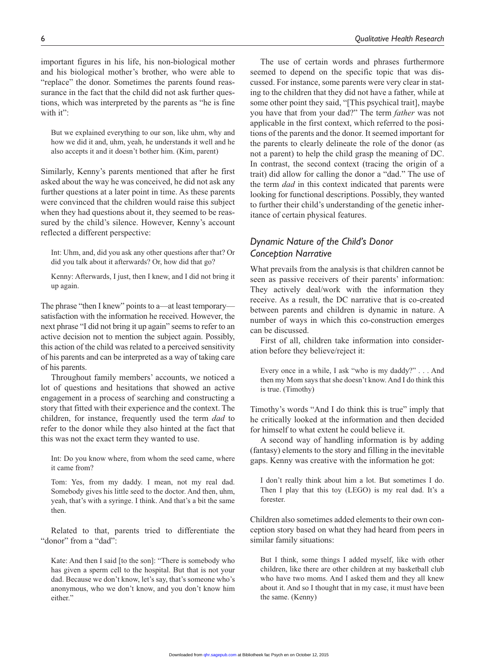important figures in his life, his non-biological mother and his biological mother's brother, who were able to "replace" the donor. Sometimes the parents found reassurance in the fact that the child did not ask further questions, which was interpreted by the parents as "he is fine with it":

But we explained everything to our son, like uhm, why and how we did it and, uhm, yeah, he understands it well and he also accepts it and it doesn't bother him. (Kim, parent)

Similarly, Kenny's parents mentioned that after he first asked about the way he was conceived, he did not ask any further questions at a later point in time. As these parents were convinced that the children would raise this subject when they had questions about it, they seemed to be reassured by the child's silence. However, Kenny's account reflected a different perspective:

Int: Uhm, and, did you ask any other questions after that? Or did you talk about it afterwards? Or, how did that go?

Kenny: Afterwards, I just, then I knew, and I did not bring it up again.

The phrase "then I knew" points to a—at least temporary satisfaction with the information he received. However, the next phrase "I did not bring it up again" seems to refer to an active decision not to mention the subject again. Possibly, this action of the child was related to a perceived sensitivity of his parents and can be interpreted as a way of taking care of his parents.

Throughout family members' accounts, we noticed a lot of questions and hesitations that showed an active engagement in a process of searching and constructing a story that fitted with their experience and the context. The children, for instance, frequently used the term *dad* to refer to the donor while they also hinted at the fact that this was not the exact term they wanted to use.

Int: Do you know where, from whom the seed came, where it came from?

Tom: Yes, from my daddy. I mean, not my real dad. Somebody gives his little seed to the doctor. And then, uhm, yeah, that's with a syringe. I think. And that's a bit the same then.

Related to that, parents tried to differentiate the "donor" from a "dad":

Kate: And then I said [to the son]: "There is somebody who has given a sperm cell to the hospital. But that is not your dad. Because we don't know, let's say, that's someone who's anonymous, who we don't know, and you don't know him either."

The use of certain words and phrases furthermore seemed to depend on the specific topic that was discussed. For instance, some parents were very clear in stating to the children that they did not have a father, while at some other point they said, "[This psychical trait], maybe you have that from your dad?" The term *father* was not applicable in the first context, which referred to the positions of the parents and the donor. It seemed important for the parents to clearly delineate the role of the donor (as not a parent) to help the child grasp the meaning of DC. In contrast, the second context (tracing the origin of a trait) did allow for calling the donor a "dad." The use of the term *dad* in this context indicated that parents were looking for functional descriptions. Possibly, they wanted to further their child's understanding of the genetic inheritance of certain physical features.

# *Dynamic Nature of the Child's Donor Conception Narrative*

What prevails from the analysis is that children cannot be seen as passive receivers of their parents' information: They actively deal/work with the information they receive. As a result, the DC narrative that is co-created between parents and children is dynamic in nature. A number of ways in which this co-construction emerges can be discussed.

First of all, children take information into consideration before they believe/reject it:

Every once in a while, I ask "who is my daddy?" . . . And then my Mom says that she doesn't know. And I do think this is true. (Timothy)

Timothy's words "And I do think this is true" imply that he critically looked at the information and then decided for himself to what extent he could believe it.

A second way of handling information is by adding (fantasy) elements to the story and filling in the inevitable gaps. Kenny was creative with the information he got:

I don't really think about him a lot. But sometimes I do. Then I play that this toy (LEGO) is my real dad. It's a forester.

Children also sometimes added elements to their own conception story based on what they had heard from peers in similar family situations:

But I think, some things I added myself, like with other children, like there are other children at my basketball club who have two moms. And I asked them and they all knew about it. And so I thought that in my case, it must have been the same. (Kenny)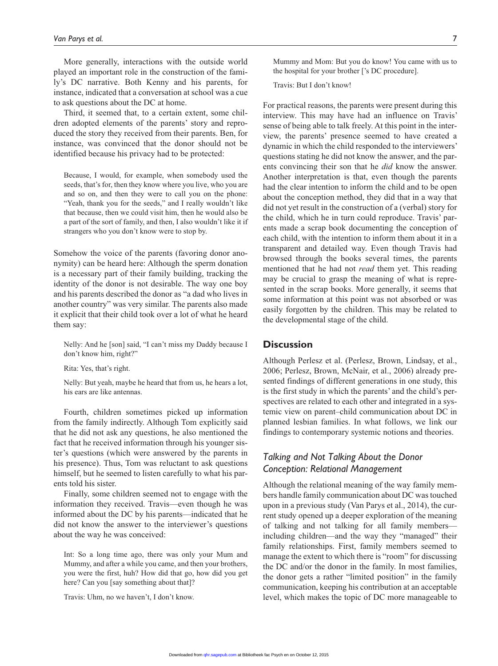More generally, interactions with the outside world played an important role in the construction of the family's DC narrative. Both Kenny and his parents, for instance, indicated that a conversation at school was a cue to ask questions about the DC at home.

Third, it seemed that, to a certain extent, some children adopted elements of the parents' story and reproduced the story they received from their parents. Ben, for instance, was convinced that the donor should not be identified because his privacy had to be protected:

Because, I would, for example, when somebody used the seeds, that's for, then they know where you live, who you are and so on, and then they were to call you on the phone: "Yeah, thank you for the seeds," and I really wouldn't like that because, then we could visit him, then he would also be a part of the sort of family, and then, I also wouldn't like it if strangers who you don't know were to stop by.

Somehow the voice of the parents (favoring donor anonymity) can be heard here: Although the sperm donation is a necessary part of their family building, tracking the identity of the donor is not desirable. The way one boy and his parents described the donor as "a dad who lives in another country" was very similar. The parents also made it explicit that their child took over a lot of what he heard them say:

Nelly: And he [son] said, "I can't miss my Daddy because I don't know him, right?"

Rita: Yes, that's right.

Nelly: But yeah, maybe he heard that from us, he hears a lot, his ears are like antennas.

Fourth, children sometimes picked up information from the family indirectly. Although Tom explicitly said that he did not ask any questions, he also mentioned the fact that he received information through his younger sister's questions (which were answered by the parents in his presence). Thus, Tom was reluctant to ask questions himself, but he seemed to listen carefully to what his parents told his sister.

Finally, some children seemed not to engage with the information they received. Travis—even though he was informed about the DC by his parents—indicated that he did not know the answer to the interviewer's questions about the way he was conceived:

Int: So a long time ago, there was only your Mum and Mummy, and after a while you came, and then your brothers, you were the first, huh? How did that go, how did you get here? Can you [say something about that]?

Travis: Uhm, no we haven't, I don't know.

Mummy and Mom: But you do know! You came with us to the hospital for your brother ['s DC procedure].

Travis: But I don't know!

For practical reasons, the parents were present during this interview. This may have had an influence on Travis' sense of being able to talk freely. At this point in the interview, the parents' presence seemed to have created a dynamic in which the child responded to the interviewers' questions stating he did not know the answer, and the parents convincing their son that he *did* know the answer. Another interpretation is that, even though the parents had the clear intention to inform the child and to be open about the conception method, they did that in a way that did not yet result in the construction of a (verbal) story for the child, which he in turn could reproduce. Travis' parents made a scrap book documenting the conception of each child, with the intention to inform them about it in a transparent and detailed way. Even though Travis had browsed through the books several times, the parents mentioned that he had not *read* them yet. This reading may be crucial to grasp the meaning of what is represented in the scrap books. More generally, it seems that some information at this point was not absorbed or was easily forgotten by the children. This may be related to the developmental stage of the child.

## **Discussion**

Although Perlesz et al. (Perlesz, Brown, Lindsay, et al., 2006; Perlesz, Brown, McNair, et al., 2006) already presented findings of different generations in one study, this is the first study in which the parents' and the child's perspectives are related to each other and integrated in a systemic view on parent–child communication about DC in planned lesbian families. In what follows, we link our findings to contemporary systemic notions and theories.

# *Talking and Not Talking About the Donor Conception: Relational Management*

Although the relational meaning of the way family members handle family communication about DC was touched upon in a previous study (Van Parys et al., 2014), the current study opened up a deeper exploration of the meaning of talking and not talking for all family members including children—and the way they "managed" their family relationships. First, family members seemed to manage the extent to which there is "room" for discussing the DC and/or the donor in the family. In most families, the donor gets a rather "limited position" in the family communication, keeping his contribution at an acceptable level, which makes the topic of DC more manageable to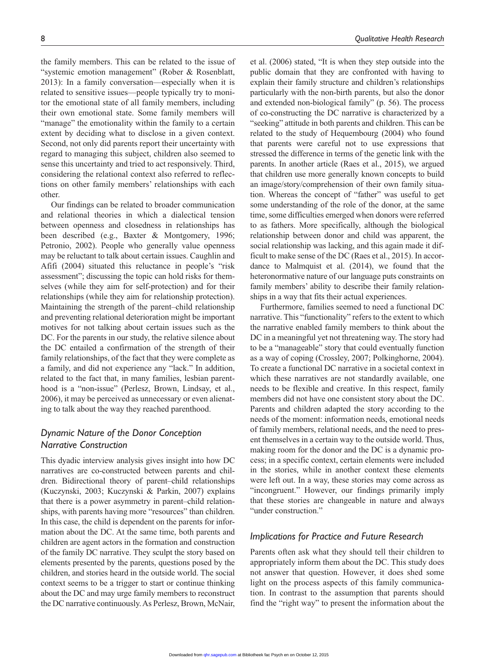the family members. This can be related to the issue of "systemic emotion management" (Rober & Rosenblatt, 2013): In a family conversation—especially when it is related to sensitive issues—people typically try to monitor the emotional state of all family members, including their own emotional state. Some family members will "manage" the emotionality within the family to a certain extent by deciding what to disclose in a given context. Second, not only did parents report their uncertainty with regard to managing this subject, children also seemed to sense this uncertainty and tried to act responsively. Third, considering the relational context also referred to reflections on other family members' relationships with each other.

Our findings can be related to broader communication and relational theories in which a dialectical tension between openness and closedness in relationships has been described (e.g., Baxter & Montgomery, 1996; Petronio, 2002). People who generally value openness may be reluctant to talk about certain issues. Caughlin and Afifi (2004) situated this reluctance in people's "risk assessment"; discussing the topic can hold risks for themselves (while they aim for self-protection) and for their relationships (while they aim for relationship protection). Maintaining the strength of the parent–child relationship and preventing relational deterioration might be important motives for not talking about certain issues such as the DC. For the parents in our study, the relative silence about the DC entailed a confirmation of the strength of their family relationships, of the fact that they were complete as a family, and did not experience any "lack." In addition, related to the fact that, in many families, lesbian parenthood is a "non-issue" (Perlesz, Brown, Lindsay, et al., 2006), it may be perceived as unnecessary or even alienating to talk about the way they reached parenthood.

# *Dynamic Nature of the Donor Conception Narrative Construction*

This dyadic interview analysis gives insight into how DC narratives are co-constructed between parents and children. Bidirectional theory of parent–child relationships (Kuczynski, 2003; Kuczynski & Parkin, 2007) explains that there is a power asymmetry in parent–child relationships, with parents having more "resources" than children. In this case, the child is dependent on the parents for information about the DC. At the same time, both parents and children are agent actors in the formation and construction of the family DC narrative. They sculpt the story based on elements presented by the parents, questions posed by the children, and stories heard in the outside world. The social context seems to be a trigger to start or continue thinking about the DC and may urge family members to reconstruct the DC narrative continuously. As Perlesz, Brown, McNair, et al. (2006) stated, "It is when they step outside into the public domain that they are confronted with having to explain their family structure and children's relationships particularly with the non-birth parents, but also the donor and extended non-biological family" (p. 56). The process of co-constructing the DC narrative is characterized by a "seeking" attitude in both parents and children. This can be related to the study of Hequembourg (2004) who found that parents were careful not to use expressions that stressed the difference in terms of the genetic link with the parents. In another article (Raes et al., 2015), we argued that children use more generally known concepts to build an image/story/comprehension of their own family situation. Whereas the concept of "father" was useful to get some understanding of the role of the donor, at the same time, some difficulties emerged when donors were referred to as fathers. More specifically, although the biological relationship between donor and child was apparent, the social relationship was lacking, and this again made it difficult to make sense of the DC (Raes et al., 2015). In accordance to Malmquist et al. (2014), we found that the heteronormative nature of our language puts constraints on family members' ability to describe their family relationships in a way that fits their actual experiences.

Furthermore, families seemed to need a functional DC narrative. This "functionality" refers to the extent to which the narrative enabled family members to think about the DC in a meaningful yet not threatening way. The story had to be a "manageable" story that could eventually function as a way of coping (Crossley, 2007; Polkinghorne, 2004). To create a functional DC narrative in a societal context in which these narratives are not standardly available, one needs to be flexible and creative. In this respect, family members did not have one consistent story about the DC. Parents and children adapted the story according to the needs of the moment: information needs, emotional needs of family members, relational needs, and the need to present themselves in a certain way to the outside world. Thus, making room for the donor and the DC is a dynamic process; in a specific context, certain elements were included in the stories, while in another context these elements were left out. In a way, these stories may come across as "incongruent." However, our findings primarily imply that these stories are changeable in nature and always "under construction."

# *Implications for Practice and Future Research*

Parents often ask what they should tell their children to appropriately inform them about the DC. This study does not answer that question. However, it does shed some light on the process aspects of this family communication. In contrast to the assumption that parents should find the "right way" to present the information about the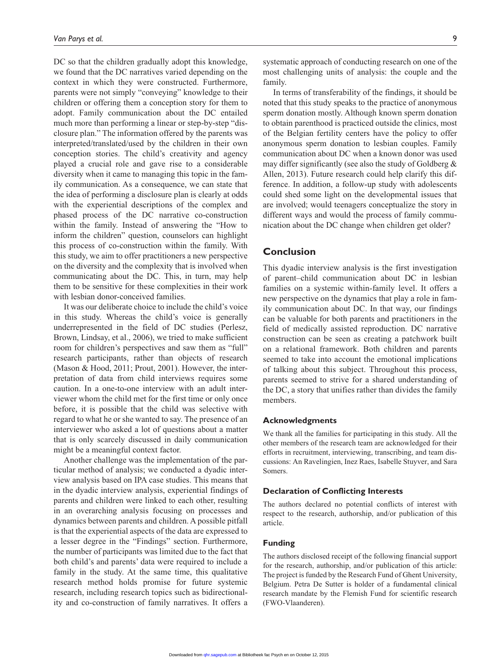DC so that the children gradually adopt this knowledge, we found that the DC narratives varied depending on the context in which they were constructed. Furthermore, parents were not simply "conveying" knowledge to their children or offering them a conception story for them to adopt. Family communication about the DC entailed much more than performing a linear or step-by-step "disclosure plan." The information offered by the parents was interpreted/translated/used by the children in their own conception stories. The child's creativity and agency played a crucial role and gave rise to a considerable diversity when it came to managing this topic in the family communication. As a consequence, we can state that the idea of performing a disclosure plan is clearly at odds with the experiential descriptions of the complex and phased process of the DC narrative co-construction within the family. Instead of answering the "How to inform the children" question, counselors can highlight this process of co-construction within the family. With this study, we aim to offer practitioners a new perspective on the diversity and the complexity that is involved when communicating about the DC. This, in turn, may help them to be sensitive for these complexities in their work with lesbian donor-conceived families.

It was our deliberate choice to include the child's voice in this study. Whereas the child's voice is generally underrepresented in the field of DC studies (Perlesz, Brown, Lindsay, et al., 2006), we tried to make sufficient room for children's perspectives and saw them as "full" research participants, rather than objects of research (Mason & Hood, 2011; Prout, 2001). However, the interpretation of data from child interviews requires some caution. In a one-to-one interview with an adult interviewer whom the child met for the first time or only once before, it is possible that the child was selective with regard to what he or she wanted to say. The presence of an interviewer who asked a lot of questions about a matter that is only scarcely discussed in daily communication might be a meaningful context factor.

Another challenge was the implementation of the particular method of analysis; we conducted a dyadic interview analysis based on IPA case studies. This means that in the dyadic interview analysis, experiential findings of parents and children were linked to each other, resulting in an overarching analysis focusing on processes and dynamics between parents and children. A possible pitfall is that the experiential aspects of the data are expressed to a lesser degree in the "Findings" section. Furthermore, the number of participants was limited due to the fact that both child's and parents' data were required to include a family in the study. At the same time, this qualitative research method holds promise for future systemic research, including research topics such as bidirectionality and co-construction of family narratives. It offers a systematic approach of conducting research on one of the most challenging units of analysis: the couple and the

In terms of transferability of the findings, it should be noted that this study speaks to the practice of anonymous sperm donation mostly. Although known sperm donation to obtain parenthood is practiced outside the clinics, most of the Belgian fertility centers have the policy to offer anonymous sperm donation to lesbian couples. Family communication about DC when a known donor was used may differ significantly (see also the study of Goldberg & Allen, 2013). Future research could help clarify this difference. In addition, a follow-up study with adolescents could shed some light on the developmental issues that are involved; would teenagers conceptualize the story in different ways and would the process of family communication about the DC change when children get older?

# **Conclusion**

family.

This dyadic interview analysis is the first investigation of parent–child communication about DC in lesbian families on a systemic within-family level. It offers a new perspective on the dynamics that play a role in family communication about DC. In that way, our findings can be valuable for both parents and practitioners in the field of medically assisted reproduction. DC narrative construction can be seen as creating a patchwork built on a relational framework. Both children and parents seemed to take into account the emotional implications of talking about this subject. Throughout this process, parents seemed to strive for a shared understanding of the DC, a story that unifies rather than divides the family members.

#### **Acknowledgments**

We thank all the families for participating in this study. All the other members of the research team are acknowledged for their efforts in recruitment, interviewing, transcribing, and team discussions: An Ravelingien, Inez Raes, Isabelle Stuyver, and Sara Somers.

#### **Declaration of Conflicting Interests**

The authors declared no potential conflicts of interest with respect to the research, authorship, and/or publication of this article.

#### **Funding**

The authors disclosed receipt of the following financial support for the research, authorship, and/or publication of this article: The project is funded by the Research Fund of Ghent University, Belgium. Petra De Sutter is holder of a fundamental clinical research mandate by the Flemish Fund for scientific research (FWO-Vlaanderen).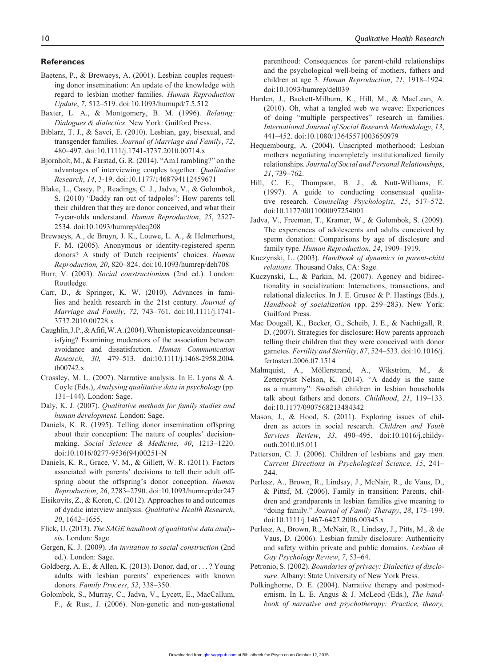#### **References**

- Baetens, P., & Brewaeys, A. (2001). Lesbian couples requesting donor insemination: An update of the knowledge with regard to lesbian mother families. *Human Reproduction Update*, *7*, 512–519. doi:10.1093/humupd/7.5.512
- Baxter, L. A., & Montgomery, B. M. (1996). *Relating: Dialogues & dialectics*. New York: Guilford Press.
- Biblarz, T. J., & Savci, E. (2010). Lesbian, gay, bisexual, and transgender families. *Journal of Marriage and Family*, *72*, 480–497. doi:10.1111/j.1741-3737.2010.00714.x
- Bjornholt, M., & Farstad, G. R. (2014). "Am I rambling?" on the advantages of interviewing couples together. *Qualitative Research*, *14*, 3-19. doi:10.1177/1468794112459671
- Blake, L., Casey, P., Readings, C. J., Jadva, V., & Golombok, S. (2010) "Daddy ran out of tadpoles": How parents tell their children that they are donor conceived, and what their 7-year-olds understand. *Human Reproduction*, *25*, 2527- 2534. doi:10.1093/humrep/deq208
- Brewaeys, A., de Bruyn, J. K., Louwe, L. A., & Helmerhorst, F. M. (2005). Anonymous or identity-registered sperm donors? A study of Dutch recipients' choices. *Human Reproduction, 20*, 820–824. doi:10.1093/humrep/deh708
- Burr, V. (2003). *Social constructionism* (2nd ed.). London: Routledge.
- Carr, D., & Springer, K. W. (2010). Advances in families and health research in the 21st century. *Journal of Marriage and Family*, *72*, 743–761. doi:10.1111/j.1741- 3737.2010.00728.x
- Caughlin, J.P., & Afifi, W.A. (2004). When is topic avoidance unsatisfying? Examining moderators of the association between avoidance and dissatisfaction. *Human Communication Research*, *30*, 479–513. doi:10.1111/j.1468-2958.2004. tb00742.x
- Crossley, M. L. (2007). Narrative analysis. In E. Lyons & A. Coyle (Eds.), *Analysing qualitative data in psychology* (pp. 131–144). London: Sage.
- Daly, K. J. (2007). *Qualitative methods for family studies and human development*. London: Sage.
- Daniels, K. R. (1995). Telling donor insemination offspring about their conception: The nature of couples' decisionmaking. *Social Science & Medicine*, *40*, 1213–1220. doi:10.1016/0277-9536(94)00251-N
- Daniels, K. R., Grace, V. M., & Gillett, W. R. (2011). Factors associated with parents' decisions to tell their adult offspring about the offspring's donor conception. *Human Reproduction*, *26*, 2783–2790. doi:10.1093/humrep/der247
- Eisikovits, Z., & Koren, C. (2012). Approaches to and outcomes of dyadic interview analysis. *Qualitative Health Research*, *20*, 1642–1655.
- Flick, U. (2013). *The SAGE handbook of qualitative data analysis*. London: Sage.
- Gergen, K. J. (2009). *An invitation to social construction* (2nd ed.). London: Sage.
- Goldberg, A. E., & Allen, K. (2013). Donor, dad, or . . . ? Young adults with lesbian parents' experiences with known donors. *Family Process*, *52*, 338–350.
- Golombok, S., Murray, C., Jadva, V., Lycett, E., MacCallum, F., & Rust, J. (2006). Non-genetic and non-gestational

parenthood: Consequences for parent-child relationships and the psychological well-being of mothers, fathers and children at age 3. *Human Reproduction*, *21*, 1918–1924. doi:10.1093/humrep/del039

- Harden, J., Backett-Milburn, K., Hill, M., & MacLean, A. (2010). Oh, what a tangled web we weave: Experiences of doing "multiple perspectives" research in families. *International Journal of Social Research Methodology*, *13*, 441–452. doi:10.1080/13645571003650979
- Hequembourg, A. (2004). Unscripted motherhood: Lesbian mothers negotiating incompletely institutionalized family relationships. *Journal of Social and Personal Relationships*, *21*, 739–762.
- Hill, C. E., Thompson, B. J., & Nutt-Williams, E. (1997). A guide to conducting consensual qualitative research. *Counseling Psychologist*, *25*, 517–572. doi:10.1177/0011000097254001
- Jadva, V., Freeman, T., Kramer, W., & Golombok, S. (2009). The experiences of adolescents and adults conceived by sperm donation: Comparisons by age of disclosure and family type. *Human Reproduction*, *24*, 1909–1919.
- Kuczynski, L. (2003). *Handbook of dynamics in parent-child relations*. Thousand Oaks, CA: Sage.
- Kuczynski, L., & Parkin, M. (2007). Agency and bidirectionality in socialization: Interactions, transactions, and relational dialectics. In J. E. Grusec & P. Hastings (Eds.), *Handbook of socialization* (pp. 259–283). New York: Guilford Press.
- Mac Dougall, K., Becker, G., Scheib, J. E., & Nachtigall, R. D. (2007). Strategies for disclosure: How parents approach telling their children that they were conceived with donor gametes. *Fertility and Sterility*, *87*, 524–533. doi:10.1016/j. fertnstert.2006.07.1514
- Malmquist, A., Möllerstrand, A., Wikström, M., & Zetterqvist Nelson, K. (2014). "A daddy is the same as a mummy": Swedish children in lesbian households talk about fathers and donors. *Childhood*, *21*, 119–133. doi:10.1177/0907568213484342
- Mason, J., & Hood, S. (2011). Exploring issues of children as actors in social research. *Children and Youth Services Review*, *33*, 490–495. doi:10.1016/j.childyouth.2010.05.011
- Patterson, C. J. (2006). Children of lesbians and gay men. *Current Directions in Psychological Science*, *15*, 241– 244.
- Perlesz, A., Brown, R., Lindsay, J., McNair, R., de Vaus, D., & Pittsf, M. (2006). Family in transition: Parents, children and grandparents in lesbian families give meaning to "doing family." *Journal of Family Therapy*, *28*, 175–199. doi:10.1111/j.1467-6427.2006.00345.x
- Perlesz, A., Brown, R., McNair, R., Lindsay, J., Pitts, M., & de Vaus, D. (2006). Lesbian family disclosure: Authenticity and safety within private and public domains. *Lesbian & Gay Psychology Review*, *7*, 53–64.
- Petronio, S. (2002). *Boundaries of privacy: Dialectics of disclosure*. Albany: State University of New York Press.
- Polkinghorne, D. E. (2004). Narrative therapy and postmodernism. In L. E. Angus & J. McLeod (Eds.), *The handbook of narrative and psychotherapy: Practice, theory,*